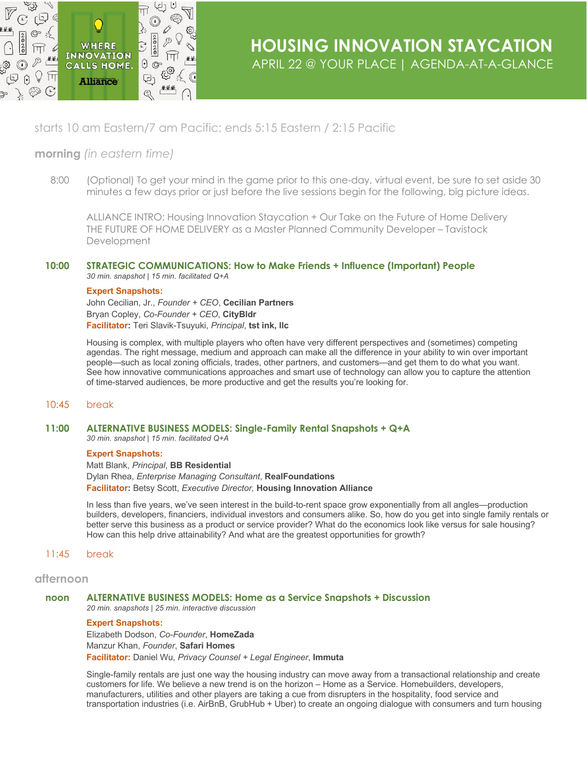

# starts 10 am Eastern/7 am Pacific; ends 5:15 Eastern / 2:15 Pacific

## **morning** *(in eastern time)*

8:00 (Optional) To get your mind in the game prior to this one-day, virtual event, be sure to set aside 30 minutes a few days prior or just before the live sessions begin for the following, big picture ideas.

ALLIANCE INTRO: Housing Innovation Staycation + Our Take on the Future of Home Delivery THE FUTURE OF HOME DELIVERY as a Master Planned Community Developer – Tavistock Development

## **10:00 STRATEGIC COMMUNICATIONS: How to Make Friends + Influence (Important) People**

*30 min. snapshot | 15 min. facilitated Q+A* 

## **Expert Snapshots:**

John Cecilian, Jr., *Founder + CEO*, **Cecilian Partners** Bryan Copley, *Co-Founder + CEO*, **CityBldr Facilitator:** Teri Slavik-Tsuyuki, *Principal*, **tst ink, llc**

Housing is complex, with multiple players who often have very different perspectives and (sometimes) competing agendas. The right message, medium and approach can make all the difference in your ability to win over important people—such as local zoning officials, trades, other partners, and customers—and get them to do what you want. See how innovative communications approaches and smart use of technology can allow you to capture the attention of time-starved audiences, be more productive and get the results you're looking for.

## 10:45 break

**11:00 ALTERNATIVE BUSINESS MODELS: Single-Family Rental Snapshots + Q+A**

*30 min. snapshot | 15 min. facilitated Q+A*

## **Expert Snapshots:**

Matt Blank, *Principal*, **BB Residential** Dylan Rhea, *Enterprise Managing Consultant*, **RealFoundations Facilitator:** Betsy Scott, *Executive Director,* **Housing Innovation Alliance**

In less than five years, we've seen interest in the build-to-rent space grow exponentially from all angles—production builders, developers, financiers, individual investors and consumers alike. So, how do you get into single family rentals or better serve this business as a product or service provider? What do the economics look like versus for sale housing? How can this help drive attainability? And what are the greatest opportunities for growth?

## 11:45 break

## **afternoon**

#### **noon ALTERNATIVE BUSINESS MODELS: Home as a Service Snapshots + Discussion** *20 min. snapshots | 25 min. interactive discussion*

## **Expert Snapshots:**

Elizabeth Dodson, *Co-Founder*, **HomeZada** Manzur Khan, *Founder*, **Safari Homes Facilitator:** Daniel Wu, *Privacy Counsel + Legal Engineer*, **Immuta**

Single-family rentals are just one way the housing industry can move away from a transactional relationship and create customers for life. We believe a new trend is on the horizon – Home as a Service. Homebuilders, developers, manufacturers, utilities and other players are taking a cue from disrupters in the hospitality, food service and transportation industries (i.e. AirBnB, GrubHub + Uber) to create an ongoing dialogue with consumers and turn housing